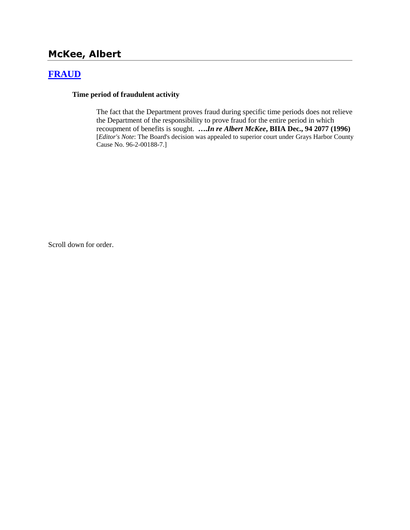# **McKee, Albert**

## **[FRAUD](http://www.biia.wa.gov/SDSubjectIndex.html#FRAUD)**

#### **Time period of fraudulent activity**

The fact that the Department proves fraud during specific time periods does not relieve the Department of the responsibility to prove fraud for the entire period in which recoupment of benefits is sought. **….***In re Albert McKee***, BIIA Dec., 94 2077 (1996)**  [*Editor's Note*: The Board's decision was appealed to superior court under Grays Harbor County Cause No. 96-2-00188-7.]

Scroll down for order.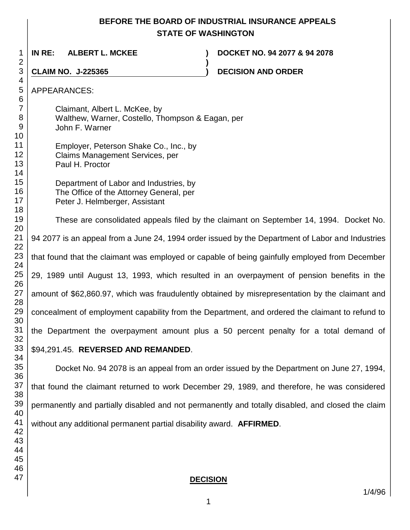## **BEFORE THE BOARD OF INDUSTRIAL INSURANCE APPEALS STATE OF WASHINGTON**

**)**

**IN RE: ALBERT L. MCKEE ) DOCKET NO. 94 2077 & 94 2078**

**CLAIM NO. J-225365 ) DECISION AND ORDER** 

APPEARANCES:

Claimant, Albert L. McKee, by Walthew, Warner, Costello, Thompson & Eagan, per John F. Warner

 Employer, Peterson Shake Co., Inc., by Claims Management Services, per Paul H. Proctor

> Department of Labor and Industries, by The Office of the Attorney General, per Peter J. Helmberger, Assistant

These are consolidated appeals filed by the claimant on September 14, 1994. Docket No. 94 2077 is an appeal from a June 24, 1994 order issued by the Department of Labor and Industries that found that the claimant was employed or capable of being gainfully employed from December 29, 1989 until August 13, 1993, which resulted in an overpayment of pension benefits in the amount of \$62,860.97, which was fraudulently obtained by misrepresentation by the claimant and concealment of employment capability from the Department, and ordered the claimant to refund to the Department the overpayment amount plus a 50 percent penalty for a total demand of

## \$94,291.45. **REVERSED AND REMANDED**.

Docket No. 94 2078 is an appeal from an order issued by the Department on June 27, 1994, that found the claimant returned to work December 29, 1989, and therefore, he was considered permanently and partially disabled and not permanently and totally disabled, and closed the claim without any additional permanent partial disability award. **AFFIRMED**.

**DECISION**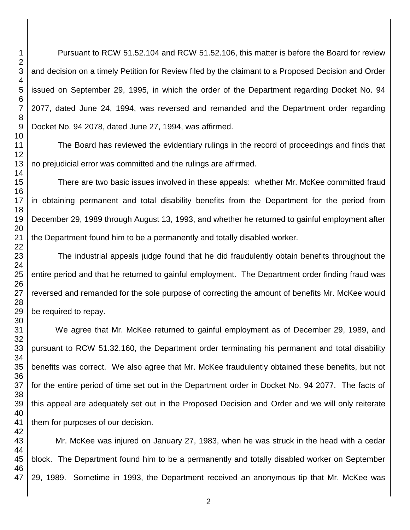Pursuant to RCW 51.52.104 and RCW 51.52.106, this matter is before the Board for review and decision on a timely Petition for Review filed by the claimant to a Proposed Decision and Order issued on September 29, 1995, in which the order of the Department regarding Docket No. 94 2077, dated June 24, 1994, was reversed and remanded and the Department order regarding Docket No. 94 2078, dated June 27, 1994, was affirmed.

The Board has reviewed the evidentiary rulings in the record of proceedings and finds that no prejudicial error was committed and the rulings are affirmed.

There are two basic issues involved in these appeals: whether Mr. McKee committed fraud in obtaining permanent and total disability benefits from the Department for the period from December 29, 1989 through August 13, 1993, and whether he returned to gainful employment after the Department found him to be a permanently and totally disabled worker.

The industrial appeals judge found that he did fraudulently obtain benefits throughout the entire period and that he returned to gainful employment. The Department order finding fraud was reversed and remanded for the sole purpose of correcting the amount of benefits Mr. McKee would be required to repay.

We agree that Mr. McKee returned to gainful employment as of December 29, 1989, and pursuant to RCW 51.32.160, the Department order terminating his permanent and total disability benefits was correct. We also agree that Mr. McKee fraudulently obtained these benefits, but not for the entire period of time set out in the Department order in Docket No. 94 2077. The facts of this appeal are adequately set out in the Proposed Decision and Order and we will only reiterate them for purposes of our decision.

Mr. McKee was injured on January 27, 1983, when he was struck in the head with a cedar block. The Department found him to be a permanently and totally disabled worker on September 29, 1989. Sometime in 1993, the Department received an anonymous tip that Mr. McKee was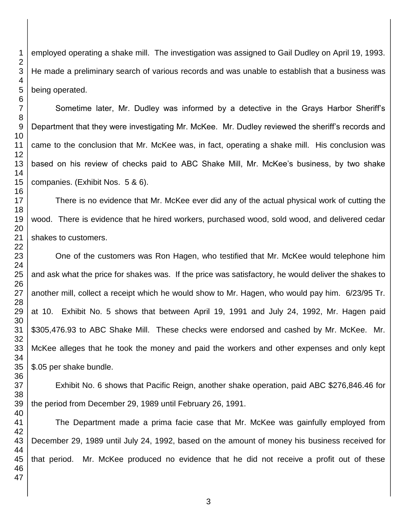employed operating a shake mill. The investigation was assigned to Gail Dudley on April 19, 1993. He made a preliminary search of various records and was unable to establish that a business was being operated.

Sometime later, Mr. Dudley was informed by a detective in the Grays Harbor Sheriff's Department that they were investigating Mr. McKee. Mr. Dudley reviewed the sheriff's records and came to the conclusion that Mr. McKee was, in fact, operating a shake mill. His conclusion was based on his review of checks paid to ABC Shake Mill, Mr. McKee's business, by two shake companies. (Exhibit Nos. 5 & 6).

There is no evidence that Mr. McKee ever did any of the actual physical work of cutting the wood. There is evidence that he hired workers, purchased wood, sold wood, and delivered cedar shakes to customers.

One of the customers was Ron Hagen, who testified that Mr. McKee would telephone him and ask what the price for shakes was. If the price was satisfactory, he would deliver the shakes to another mill, collect a receipt which he would show to Mr. Hagen, who would pay him. 6/23/95 Tr. at 10. Exhibit No. 5 shows that between April 19, 1991 and July 24, 1992, Mr. Hagen paid \$305,476.93 to ABC Shake Mill. These checks were endorsed and cashed by Mr. McKee. Mr. McKee alleges that he took the money and paid the workers and other expenses and only kept \$.05 per shake bundle.

Exhibit No. 6 shows that Pacific Reign, another shake operation, paid ABC \$276,846.46 for the period from December 29, 1989 until February 26, 1991.

The Department made a prima facie case that Mr. McKee was gainfully employed from December 29, 1989 until July 24, 1992, based on the amount of money his business received for that period. Mr. McKee produced no evidence that he did not receive a profit out of these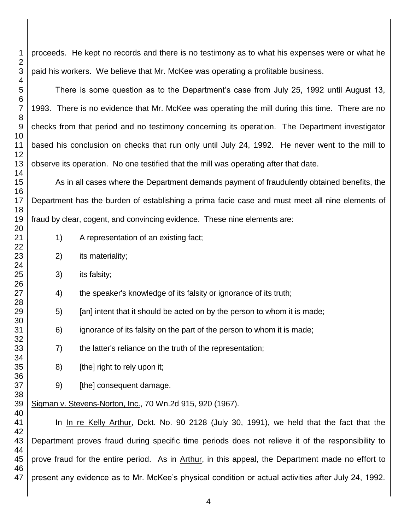proceeds. He kept no records and there is no testimony as to what his expenses were or what he paid his workers. We believe that Mr. McKee was operating a profitable business.

There is some question as to the Department's case from July 25, 1992 until August 13, 1993. There is no evidence that Mr. McKee was operating the mill during this time. There are no checks from that period and no testimony concerning its operation. The Department investigator based his conclusion on checks that run only until July 24, 1992. He never went to the mill to observe its operation. No one testified that the mill was operating after that date.

As in all cases where the Department demands payment of fraudulently obtained benefits, the Department has the burden of establishing a prima facie case and must meet all nine elements of fraud by clear, cogent, and convincing evidence. These nine elements are:

- 1) A representation of an existing fact;
- 2) its materiality;
- 3) its falsity;
- 4) the speaker's knowledge of its falsity or ignorance of its truth;
- 5) [an] intent that it should be acted on by the person to whom it is made;
- 6) ignorance of its falsity on the part of the person to whom it is made;
- 7) the latter's reliance on the truth of the representation;
- 8) [the] right to rely upon it;
- 9) [the] consequent damage.

Sigman v. Stevens-Norton, Inc., 70 Wn.2d 915, 920 (1967).

In In re Kelly Arthur, Dokt. No. 90 2128 (July 30, 1991), we held that the fact that the Department proves fraud during specific time periods does not relieve it of the responsibility to prove fraud for the entire period. As in Arthur, in this appeal, the Department made no effort to present any evidence as to Mr. McKee's physical condition or actual activities after July 24, 1992.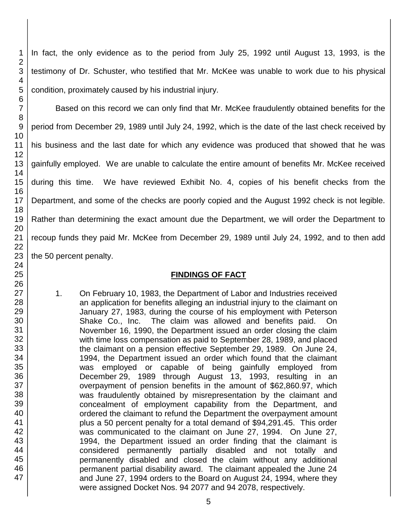In fact, the only evidence as to the period from July 25, 1992 until August 13, 1993, is the testimony of Dr. Schuster, who testified that Mr. McKee was unable to work due to his physical condition, proximately caused by his industrial injury.

Based on this record we can only find that Mr. McKee fraudulently obtained benefits for the period from December 29, 1989 until July 24, 1992, which is the date of the last check received by his business and the last date for which any evidence was produced that showed that he was gainfully employed. We are unable to calculate the entire amount of benefits Mr. McKee received during this time. We have reviewed Exhibit No. 4, copies of his benefit checks from the Department, and some of the checks are poorly copied and the August 1992 check is not legible. Rather than determining the exact amount due the Department, we will order the Department to recoup funds they paid Mr. McKee from December 29, 1989 until July 24, 1992, and to then add the 50 percent penalty.

### **FINDINGS OF FACT**

1. On February 10, 1983, the Department of Labor and Industries received an application for benefits alleging an industrial injury to the claimant on January 27, 1983, during the course of his employment with Peterson Shake Co., Inc. The claim was allowed and benefits paid. On November 16, 1990, the Department issued an order closing the claim with time loss compensation as paid to September 28, 1989, and placed the claimant on a pension effective September 29, 1989. On June 24, 1994, the Department issued an order which found that the claimant was employed or capable of being gainfully employed from December 29, 1989 through August 13, 1993, resulting in an overpayment of pension benefits in the amount of \$62,860.97, which was fraudulently obtained by misrepresentation by the claimant and concealment of employment capability from the Department, and ordered the claimant to refund the Department the overpayment amount plus a 50 percent penalty for a total demand of \$94,291.45. This order was communicated to the claimant on June 27, 1994. On June 27, 1994, the Department issued an order finding that the claimant is considered permanently partially disabled and not totally and permanently disabled and closed the claim without any additional permanent partial disability award. The claimant appealed the June 24 and June 27, 1994 orders to the Board on August 24, 1994, where they were assigned Docket Nos. 94 2077 and 94 2078, respectively.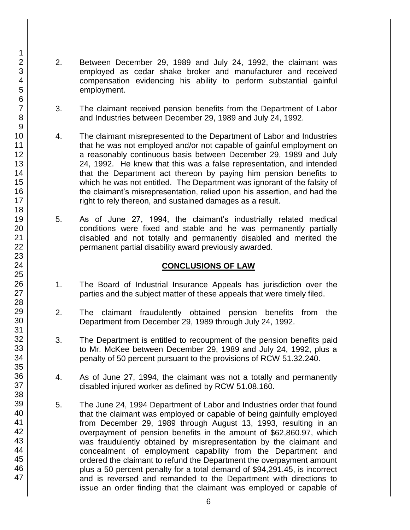- 2. Between December 29, 1989 and July 24, 1992, the claimant was employed as cedar shake broker and manufacturer and received compensation evidencing his ability to perform substantial gainful employment.
- 3. The claimant received pension benefits from the Department of Labor and Industries between December 29, 1989 and July 24, 1992.
- 4. The claimant misrepresented to the Department of Labor and Industries that he was not employed and/or not capable of gainful employment on a reasonably continuous basis between December 29, 1989 and July 24, 1992. He knew that this was a false representation, and intended that the Department act thereon by paying him pension benefits to which he was not entitled. The Department was ignorant of the falsity of the claimant's misrepresentation, relied upon his assertion, and had the right to rely thereon, and sustained damages as a result.
- 5. As of June 27, 1994, the claimant's industrially related medical conditions were fixed and stable and he was permanently partially disabled and not totally and permanently disabled and merited the permanent partial disability award previously awarded.

## **CONCLUSIONS OF LAW**

- 1. The Board of Industrial Insurance Appeals has jurisdiction over the parties and the subject matter of these appeals that were timely filed.
- 2. The claimant fraudulently obtained pension benefits from the Department from December 29, 1989 through July 24, 1992.
- 3. The Department is entitled to recoupment of the pension benefits paid to Mr. McKee between December 29, 1989 and July 24, 1992, plus a penalty of 50 percent pursuant to the provisions of RCW 51.32.240.
- 4. As of June 27, 1994, the claimant was not a totally and permanently disabled injured worker as defined by RCW 51.08.160.
- 5. The June 24, 1994 Department of Labor and Industries order that found that the claimant was employed or capable of being gainfully employed from December 29, 1989 through August 13, 1993, resulting in an overpayment of pension benefits in the amount of \$62,860.97, which was fraudulently obtained by misrepresentation by the claimant and concealment of employment capability from the Department and ordered the claimant to refund the Department the overpayment amount plus a 50 percent penalty for a total demand of \$94,291.45, is incorrect and is reversed and remanded to the Department with directions to issue an order finding that the claimant was employed or capable of